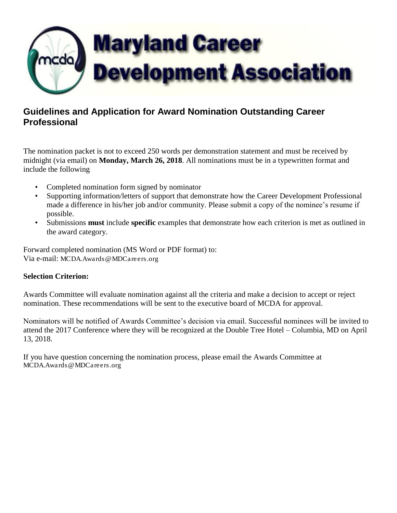

## **Guidelines and Application for Award Nomination Outstanding Career Professional**

The nomination packet is not to exceed 250 words per demonstration statement and must be received by midnight (via email) on **Monday, March 26, 2018**. All nominations must be in a typewritten format and include the following

- Completed nomination form signed by nominator
- Supporting information/letters of support that demonstrate how the Career Development Professional made a difference in his/her job and/or community. Please submit a copy of the nominee's resume if possible.
- Submissions **must** include **specific** examples that demonstrate how each criterion is met as outlined in the award category.

Forward completed nomination (MS Word or PDF format) to: Via e-mail: [MCDA.Awards@MDCareers.org](mailto:MCDA.Awards@MDCareers.org)

## **Selection Criterion:**

Awards Committee will evaluate nomination against all the criteria and make a decision to accept or reject nomination. These recommendations will be sent to the executive board of MCDA for approval.

Nominators will be notified of Awards Committee's decision via email. Successful nominees will be invited to attend the 2017 Conference where they will be recognized at the Double Tree Hotel – Columbia, MD on April 13, 2018.

If you have question concerning the nomination process, please email the Awards Committee at [MCDA.Awards@MDCareers.org](mailto:MCDA.Awards@MDCareers.org)